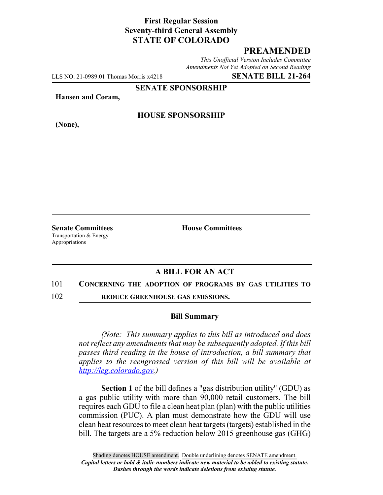# **First Regular Session Seventy-third General Assembly STATE OF COLORADO**

## **PREAMENDED**

*This Unofficial Version Includes Committee Amendments Not Yet Adopted on Second Reading*

LLS NO. 21-0989.01 Thomas Morris x4218 **SENATE BILL 21-264**

**SENATE SPONSORSHIP**

**Hansen and Coram,**

**(None),**

### **HOUSE SPONSORSHIP**

**Senate Committees House Committees** Transportation & Energy Appropriations

## **A BILL FOR AN ACT**

### 101 **CONCERNING THE ADOPTION OF PROGRAMS BY GAS UTILITIES TO**

102 **REDUCE GREENHOUSE GAS EMISSIONS.**

#### **Bill Summary**

*(Note: This summary applies to this bill as introduced and does not reflect any amendments that may be subsequently adopted. If this bill passes third reading in the house of introduction, a bill summary that applies to the reengrossed version of this bill will be available at http://leg.colorado.gov.)*

**Section 1** of the bill defines a "gas distribution utility" (GDU) as a gas public utility with more than 90,000 retail customers. The bill requires each GDU to file a clean heat plan (plan) with the public utilities commission (PUC). A plan must demonstrate how the GDU will use clean heat resources to meet clean heat targets (targets) established in the bill. The targets are a 5% reduction below 2015 greenhouse gas (GHG)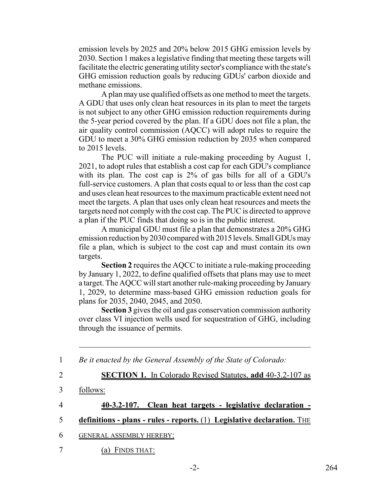emission levels by 2025 and 20% below 2015 GHG emission levels by 2030. Section 1 makes a legislative finding that meeting these targets will facilitate the electric generating utility sector's compliance with the state's GHG emission reduction goals by reducing GDUs' carbon dioxide and methane emissions.

A plan may use qualified offsets as one method to meet the targets. A GDU that uses only clean heat resources in its plan to meet the targets is not subject to any other GHG emission reduction requirements during the 5-year period covered by the plan. If a GDU does not file a plan, the air quality control commission (AQCC) will adopt rules to require the GDU to meet a 30% GHG emission reduction by 2035 when compared to 2015 levels.

The PUC will initiate a rule-making proceeding by August 1, 2021, to adopt rules that establish a cost cap for each GDU's compliance with its plan. The cost cap is 2% of gas bills for all of a GDU's full-service customers. A plan that costs equal to or less than the cost cap and uses clean heat resources to the maximum practicable extent need not meet the targets. A plan that uses only clean heat resources and meets the targets need not comply with the cost cap. The PUC is directed to approve a plan if the PUC finds that doing so is in the public interest.

A municipal GDU must file a plan that demonstrates a 20% GHG emission reduction by 2030 compared with 2015 levels. Small GDUs may file a plan, which is subject to the cost cap and must contain its own targets.

**Section 2** requires the AQCC to initiate a rule-making proceeding by January 1, 2022, to define qualified offsets that plans may use to meet a target. The AQCC will start another rule-making proceeding by January 1, 2029, to determine mass-based GHG emission reduction goals for plans for 2035, 2040, 2045, and 2050.

**Section 3** gives the oil and gas conservation commission authority over class VI injection wells used for sequestration of GHG, including through the issuance of permits.

| $\mathbf{1}$   | Be it enacted by the General Assembly of the State of Colorado:           |
|----------------|---------------------------------------------------------------------------|
| $\overline{2}$ | <b>SECTION 1.</b> In Colorado Revised Statutes, add 40-3.2-107 as         |
| 3              | follows:                                                                  |
| $\overline{4}$ | - Clean heat targets - legislative declaration -<br>$40 - 3.2 - 107.$     |
|                | definitions - plans - rules - reports. $(1)$ Legislative declaration. The |
| 6              | <b>GENERAL ASSEMBLY HEREBY:</b>                                           |
|                | FINDS THAT:<br>a l                                                        |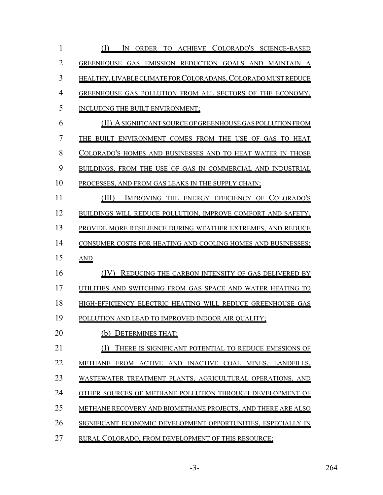| $\mathbf{1}$   | (I)<br>IN ORDER TO ACHIEVE COLORADO'S SCIENCE-BASED           |
|----------------|---------------------------------------------------------------|
| $\overline{2}$ | GREENHOUSE GAS EMISSION REDUCTION GOALS AND MAINTAIN A        |
| 3              | HEALTHY, LIVABLE CLIMATE FOR COLORADANS, COLORADO MUST REDUCE |
| $\overline{4}$ | GREENHOUSE GAS POLLUTION FROM ALL SECTORS OF THE ECONOMY,     |
| 5              | INCLUDING THE BUILT ENVIRONMENT;                              |
| 6              | (II) A SIGNIFICANT SOURCE OF GREENHOUSE GAS POLLUTION FROM    |
| $\overline{7}$ | THE BUILT ENVIRONMENT COMES FROM THE USE OF GAS TO HEAT       |
| 8              | COLORADO'S HOMES AND BUSINESSES AND TO HEAT WATER IN THOSE    |
| 9              | BUILDINGS, FROM THE USE OF GAS IN COMMERCIAL AND INDUSTRIAL   |
| 10             | PROCESSES, AND FROM GAS LEAKS IN THE SUPPLY CHAIN;            |
| 11             | (III)<br>IMPROVING THE ENERGY EFFICIENCY OF COLORADO'S        |
| 12             | BUILDINGS WILL REDUCE POLLUTION, IMPROVE COMFORT AND SAFETY,  |
| 13             | PROVIDE MORE RESILIENCE DURING WEATHER EXTREMES, AND REDUCE   |
| 14             | CONSUMER COSTS FOR HEATING AND COOLING HOMES AND BUSINESSES;  |
| 15             | AND                                                           |
| 16             | (IV)<br>REDUCING THE CARBON INTENSITY OF GAS DELIVERED BY     |
| 17             | UTILITIES AND SWITCHING FROM GAS SPACE AND WATER HEATING TO   |
| 18             | HIGH-EFFICIENCY ELECTRIC HEATING WILL REDUCE GREENHOUSE GAS   |
| 19             | POLLUTION AND LEAD TO IMPROVED INDOOR AIR QUALITY;            |
| 20             | <b>DETERMINES THAT:</b>                                       |
| 21             | THERE IS SIGNIFICANT POTENTIAL TO REDUCE EMISSIONS OF         |
| 22             | METHANE FROM ACTIVE AND INACTIVE COAL MINES, LANDFILLS,       |
| 23             | WASTEWATER TREATMENT PLANTS, AGRICULTURAL OPERATIONS, AND     |
| 24             | OTHER SOURCES OF METHANE POLLUTION THROUGH DEVELOPMENT OF     |
| 25             | METHANE RECOVERY AND BIOMETHANE PROJECTS, AND THERE ARE ALSO  |
| 26             | SIGNIFICANT ECONOMIC DEVELOPMENT OPPORTUNITIES, ESPECIALLY IN |
| 27             | RURAL COLORADO, FROM DEVELOPMENT OF THIS RESOURCE;            |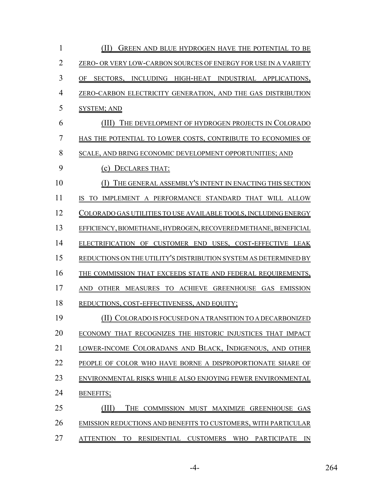| 1  | (II)<br>GREEN AND BLUE HYDROGEN HAVE THE POTENTIAL TO BE                         |
|----|----------------------------------------------------------------------------------|
| 2  | ZERO- OR VERY LOW-CARBON SOURCES OF ENERGY FOR USE IN A VARIETY                  |
| 3  | INCLUDING HIGH-HEAT INDUSTRIAL APPLICATIONS,<br>OF<br>SECTORS.                   |
| 4  | ZERO-CARBON ELECTRICITY GENERATION, AND THE GAS DISTRIBUTION                     |
| 5  | <b>SYSTEM; AND</b>                                                               |
| 6  | THE DEVELOPMENT OF HYDROGEN PROJECTS IN COLORADO<br>(III)                        |
| 7  | HAS THE POTENTIAL TO LOWER COSTS, CONTRIBUTE TO ECONOMIES OF                     |
| 8  | SCALE, AND BRING ECONOMIC DEVELOPMENT OPPORTUNITIES; AND                         |
| 9  | (c) DECLARES THAT:                                                               |
| 10 | THE GENERAL ASSEMBLY'S INTENT IN ENACTING THIS SECTION                           |
| 11 | TO IMPLEMENT A PERFORMANCE STANDARD THAT WILL ALLOW<br>IS                        |
| 12 | COLORADO GAS UTILITIES TO USE AVAILABLE TOOLS, INCLUDING ENERGY                  |
| 13 | EFFICIENCY, BIOMETHANE, HYDROGEN, RECOVERED METHANE, BENEFICIAL                  |
| 14 | ELECTRIFICATION OF CUSTOMER END USES, COST-EFFECTIVE LEAK                        |
| 15 | REDUCTIONS ON THE UTILITY'S DISTRIBUTION SYSTEM AS DETERMINED BY                 |
| 16 | THE COMMISSION THAT EXCEEDS STATE AND FEDERAL REQUIREMENTS,                      |
| 17 | OTHER MEASURES TO ACHIEVE GREENHOUSE GAS EMISSION<br>AND                         |
| 18 | REDUCTIONS, COST-EFFECTIVENESS, AND EQUITY;                                      |
| 19 | (II) COLORADO IS FOCUSED ON A TRANSITION TO A DECARBONIZED                       |
| 20 | ECONOMY THAT RECOGNIZES THE HISTORIC INJUSTICES THAT IMPACT                      |
| 21 | LOWER-INCOME COLORADANS AND BLACK, INDIGENOUS, AND OTHER                         |
| 22 | PEOPLE OF COLOR WHO HAVE BORNE A DISPROPORTIONATE SHARE OF                       |
| 23 | ENVIRONMENTAL RISKS WHILE ALSO ENJOYING FEWER ENVIRONMENTAL                      |
| 24 | <b>BENEFITS;</b>                                                                 |
| 25 | THE COMMISSION MUST MAXIMIZE GREENHOUSE GAS                                      |
| 26 | EMISSION REDUCTIONS AND BENEFITS TO CUSTOMERS, WITH PARTICULAR                   |
| 27 | RESIDENTIAL CUSTOMERS WHO<br><b>ATTENTION</b><br><b>PARTICIPATE</b><br>TO.<br>IN |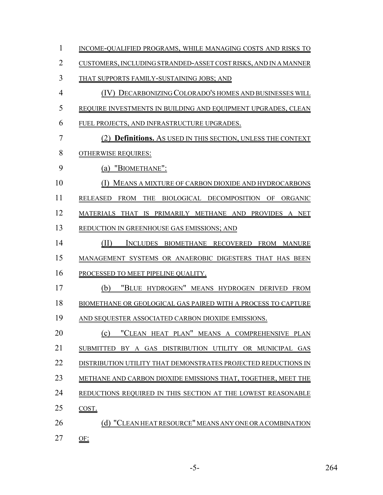1 INCOME-QUALIFIED PROGRAMS, WHILE MANAGING COSTS AND RISKS TO CUSTOMERS, INCLUDING STRANDED-ASSET COST RISKS, AND IN A MANNER THAT SUPPORTS FAMILY-SUSTAINING JOBS; AND (IV) DECARBONIZING COLORADO'S HOMES AND BUSINESSES WILL REQUIRE INVESTMENTS IN BUILDING AND EQUIPMENT UPGRADES, CLEAN FUEL PROJECTS, AND INFRASTRUCTURE UPGRADES. (2) **Definitions.** AS USED IN THIS SECTION, UNLESS THE CONTEXT OTHERWISE REQUIRES: (a) "BIOMETHANE": (I) MEANS A MIXTURE OF CARBON DIOXIDE AND HYDROCARBONS RELEASED FROM THE BIOLOGICAL DECOMPOSITION OF ORGANIC MATERIALS THAT IS PRIMARILY METHANE AND PROVIDES A NET REDUCTION IN GREENHOUSE GAS EMISSIONS; AND (II) INCLUDES BIOMETHANE RECOVERED FROM MANURE MANAGEMENT SYSTEMS OR ANAEROBIC DIGESTERS THAT HAS BEEN 16 PROCESSED TO MEET PIPELINE QUALITY. (b) "BLUE HYDROGEN" MEANS HYDROGEN DERIVED FROM BIOMETHANE OR GEOLOGICAL GAS PAIRED WITH A PROCESS TO CAPTURE AND SEQUESTER ASSOCIATED CARBON DIOXIDE EMISSIONS. 20 (c) "CLEAN HEAT PLAN" MEANS A COMPREHENSIVE PLAN SUBMITTED BY A GAS DISTRIBUTION UTILITY OR MUNICIPAL GAS 22 DISTRIBUTION UTILITY THAT DEMONSTRATES PROJECTED REDUCTIONS IN METHANE AND CARBON DIOXIDE EMISSIONS THAT, TOGETHER, MEET THE REDUCTIONS REQUIRED IN THIS SECTION AT THE LOWEST REASONABLE COST. 26 (d) "CLEAN HEAT RESOURCE" MEANS ANY ONE OR A COMBINATION OF: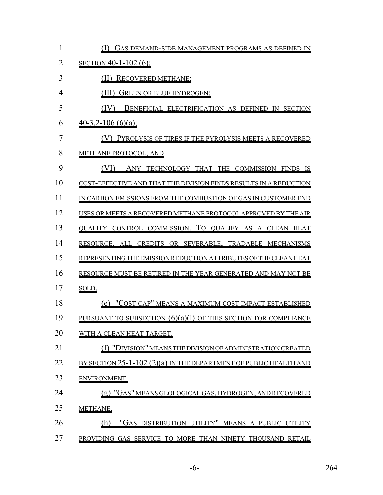| 1              | GAS DEMAND-SIDE MANAGEMENT PROGRAMS AS DEFINED IN                   |
|----------------|---------------------------------------------------------------------|
| $\overline{2}$ | SECTION 40-1-102 (6);                                               |
| 3              | RECOVERED METHANE;                                                  |
| 4              | GREEN OR BLUE HYDROGEN;                                             |
| 5              | (IV)<br>BENEFICIAL ELECTRIFICATION AS DEFINED IN SECTION            |
| 6              | $40-3.2-106(6)(a);$                                                 |
| 7              | PYROLYSIS OF TIRES IF THE PYROLYSIS MEETS A RECOVERED               |
| 8              | METHANE PROTOCOL; AND                                               |
| 9              | ANY TECHNOLOGY THAT THE COMMISSION FINDS<br>1S                      |
| 10             | COST-EFFECTIVE AND THAT THE DIVISION FINDS RESULTS IN A REDUCTION   |
| 11             | IN CARBON EMISSIONS FROM THE COMBUSTION OF GAS IN CUSTOMER END      |
| 12             | USES OR MEETS A RECOVERED METHANE PROTOCOL APPROVED BY THE AIR      |
| 13             | QUALITY CONTROL COMMISSION. TO QUALIFY AS A CLEAN HEAT              |
| 14             | RESOURCE, ALL CREDITS OR SEVERABLE, TRADABLE MECHANISMS             |
| 15             | REPRESENTING THE EMISSION REDUCTION ATTRIBUTES OF THE CLEAN HEAT    |
| 16             | RESOURCE MUST BE RETIRED IN THE YEAR GENERATED AND MAY NOT BE       |
| 17             | SOLD.                                                               |
| 18             | (e) "COST CAP" MEANS A MAXIMUM COST IMPACT ESTABLISHED              |
| 19             | PURSUANT TO SUBSECTION $(6)(a)(I)$ OF THIS SECTION FOR COMPLIANCE   |
| 20             | WITH A CLEAN HEAT TARGET.                                           |
| 21             | (f) "DIVISI <u>ON" MEANS THE DIVISION OF ADMINISTRATION CREATED</u> |
| 22             | BY SECTION 25-1-102 (2)(a) IN THE DEPARTMENT OF PUBLIC HEALTH AND   |
| 23             | ENVIRONMENT.                                                        |
| 24             | (g) "GAS" MEANS GEOLOGICAL GAS, HYDROGEN, AND RECOVERED             |
| 25             | METHANE.                                                            |
| 26             | "GAS DISTRIBUTION UTILITY" MEANS A PUBLIC UTILITY<br>(h)            |
| 27             | PROVIDING GAS SERVICE TO MORE THAN NINETY THOUSAND RETAIL           |

-6- 264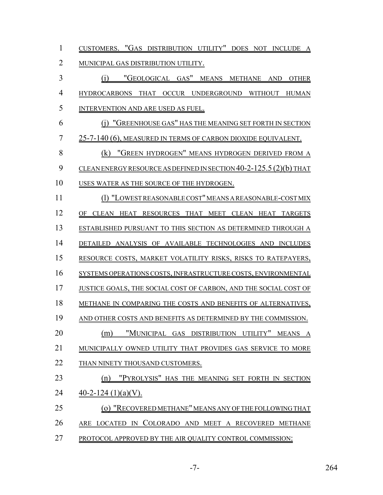| $\mathbf{1}$   | CUSTOMERS. "GAS DISTRIBUTION UTILITY" DOES NOT INCLUDE A             |
|----------------|----------------------------------------------------------------------|
| $\overline{2}$ | MUNICIPAL GAS DISTRIBUTION UTILITY.                                  |
| 3              | (i) "GEOLOGICAL GAS" MEANS METHANE AND OTHER                         |
| $\overline{4}$ | HYDROCARBONS THAT OCCUR UNDERGROUND WITHOUT HUMAN                    |
| 5              | INTERVENTION AND ARE USED AS FUEL.                                   |
| 6              | (1) "GREENHOUSE GAS" HAS THE MEANING SET FORTH IN SECTION            |
| $\overline{7}$ | <u>25-7-140 (6), MEASURED IN TERMS OF CARBON DIOXIDE EQUIVALENT.</u> |
| 8              | (k) "GREEN HYDROGEN" MEANS HYDROGEN DERIVED FROM A                   |
| 9              | CLEANENERGY RESOURCE AS DEFINED IN SECTION 40-2-125.5 (2)(b) THAT    |
| 10             | USES WATER AS THE SOURCE OF THE HYDROGEN.                            |
| 11             | (1) "LOWEST REASONABLE COST" MEANS A REASONABLE-COST MIX             |
| 12             | OF CLEAN HEAT RESOURCES THAT MEET CLEAN HEAT TARGETS                 |
| 13             | ESTABLISHED PURSUANT TO THIS SECTION AS DETERMINED THROUGH A         |
| 14             | DETAILED ANALYSIS OF AVAILABLE TECHNOLOGIES AND INCLUDES             |
| 15             | RESOURCE COSTS, MARKET VOLATILITY RISKS, RISKS TO RATEPAYERS,        |
| 16             | SYSTEMS OPERATIONS COSTS, INFRASTRUCTURE COSTS, ENVIRONMENTAL        |
| 17             | JUSTICE GOALS, THE SOCIAL COST OF CARBON, AND THE SOCIAL COST OF     |
| 18             | METHANE IN COMPARING THE COSTS AND BENEFITS OF ALTERNATIVES,         |
| 19             | AND OTHER COSTS AND BENEFITS AS DETERMINED BY THE COMMISSION.        |
| 20             | "MUNICIPAL GAS DISTRIBUTION UTILITY"<br>(m)<br>MEANS<br>A            |
| 21             | MUNICIPALLY OWNED UTILITY THAT PROVIDES GAS SERVICE TO MORE          |
| 22             | THAN NINETY THOUSAND CUSTOMERS.                                      |
| 23             | "PYROLYSIS" HAS THE MEANING SET FORTH IN SECTION<br>(n)              |
| 24             | 40-2-124 $(1)(a)(V)$ .                                               |
| 25             | (o) "RECOVERED METHANE" MEANS ANY OF THE FOLLOWING THAT              |
| 26             | ARE LOCATED IN COLORADO AND MEET A RECOVERED METHANE                 |
| 27             | PROTOCOL APPROVED BY THE AIR QUALITY CONTROL COMMISSION:             |

-7- 264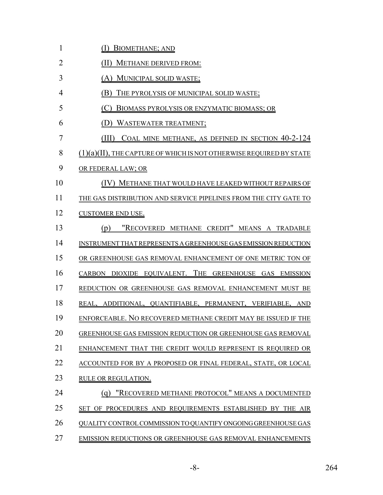| $\mathbf{1}$   | <b>BIOMETHANE; AND</b>                                              |
|----------------|---------------------------------------------------------------------|
| $\overline{2}$ | (II) METHANE DERIVED FROM:                                          |
| 3              | (A) MUNICIPAL SOLID WASTE;                                          |
| $\overline{4}$ | (B) THE PYROLYSIS OF MUNICIPAL SOLID WASTE;                         |
| 5              | (C)<br>BIOMASS PYROLYSIS OR ENZYMATIC BIOMASS; OR                   |
| 6              | (D) WASTEWATER TREATMENT;                                           |
| $\overline{7}$ | (III)<br>COAL MINE METHANE, AS DEFINED IN SECTION 40-2-124          |
| 8              | (1)(a)(II), THE CAPTURE OF WHICH IS NOT OTHERWISE REQUIRED BY STATE |
| 9              | OR FEDERAL LAW; OR                                                  |
| 10             | (IV) METHANE THAT WOULD HAVE LEAKED WITHOUT REPAIRS OF              |
| 11             | THE GAS DISTRIBUTION AND SERVICE PIPELINES FROM THE CITY GATE TO    |
| 12             | <b>CUSTOMER END USE.</b>                                            |
| 13             | "RECOVERED METHANE CREDIT" MEANS A TRADABLE<br>(p)                  |
| 14             | INSTRUMENT THAT REPRESENTS A GREENHOUSE GAS EMISSION REDUCTION      |
| 15             | OR GREENHOUSE GAS REMOVAL ENHANCEMENT OF ONE METRIC TON OF          |
| 16             | CARBON DIOXIDE EQUIVALENT. THE GREENHOUSE GAS EMISSION              |
| 17             | REDUCTION OR GREENHOUSE GAS REMOVAL ENHANCEMENT MUST BE             |
| 18             | REAL, ADDITIONAL, QUANTIFIABLE, PERMANENT, VERIFIABLE, AND          |
| 19             | ENFORCEABLE. NO RECOVERED METHANE CREDIT MAY BE ISSUED IF THE       |
| 20             | GREENHOUSE GAS EMISSION REDUCTION OR GREENHOUSE GAS REMOVAL         |
| 21             | ENHANCEMENT THAT THE CREDIT WOULD REPRESENT IS REQUIRED OR          |
| 22             | ACCOUNTED FOR BY A PROPOSED OR FINAL FEDERAL, STATE, OR LOCAL       |
| 23             | RULE OR REGULATION.                                                 |
| 24             | "RECOVERED METHANE PROTOCOL" MEANS A DOCUMENTED<br>(g)              |
| 25             | SET OF PROCEDURES AND REQUIREMENTS ESTABLISHED BY THE AIR           |
| 26             | QUALITY CONTROL COMMISSION TO QUANTIFY ONGOING GREENHOUSE GAS       |
|                |                                                                     |

27 EMISSION REDUCTIONS OR GREENHOUSE GAS REMOVAL ENHANCEMENTS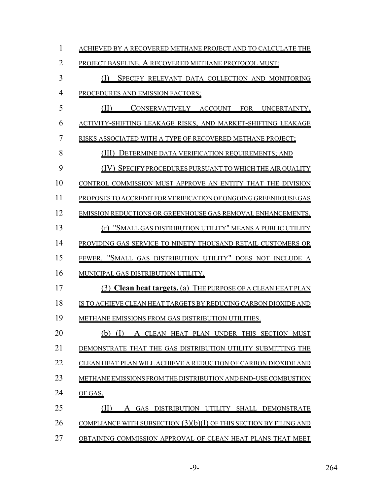| 1              | ACHIEVED BY A RECOVERED METHANE PROJECT AND TO CALCULATE THE         |
|----------------|----------------------------------------------------------------------|
| $\overline{2}$ | PROJECT BASELINE. A RECOVERED METHANE PROTOCOL MUST:                 |
| 3              | (I)<br>SPECIFY RELEVANT DATA COLLECTION AND MONITORING               |
| $\overline{4}$ | PROCEDURES AND EMISSION FACTORS;                                     |
| 5              | (II)<br>CONSERVATIVELY ACCOUNT FOR UNCERTAINTY,                      |
| 6              | ACTIVITY-SHIFTING LEAKAGE RISKS, AND MARKET-SHIFTING LEAKAGE         |
| $\overline{7}$ | RISKS ASSOCIATED WITH A TYPE OF RECOVERED METHANE PROJECT;           |
| 8              | (III)<br>DETERMINE DATA VERIFICATION REQUIREMENTS; AND               |
| 9              | SPECIFY PROCEDURES PURSUANT TO WHICH THE AIR QUALITY                 |
| 10             | CONTROL COMMISSION MUST APPROVE AN ENTITY THAT THE DIVISION          |
| 11             | PROPOSES TO ACCREDIT FOR VERIFICATION OF ONGOING GREENHOUSE GAS      |
| 12             | EMISSION REDUCTIONS OR GREENHOUSE GAS REMOVAL ENHANCEMENTS.          |
| 13             | "SMALL GAS DISTRIBUTION UTILITY" MEANS A PUBLIC UTILITY<br>(r)       |
| 14             | PROVIDING GAS SERVICE TO NINETY THOUSAND RETAIL CUSTOMERS OR         |
| 15             | FEWER. "SMALL GAS DISTRIBUTION UTILITY" DOES NOT INCLUDE A           |
| 16             | MUNICIPAL GAS DISTRIBUTION UTILITY.                                  |
| 17             | (3) Clean heat targets. (a) THE PURPOSE OF A CLEAN HEAT PLAN         |
| 18             | IS TO ACHIEVE CLEAN HEAT TARGETS BY REDUCING CARBON DIOXIDE AND      |
| 19             | METHANE EMISSIONS FROM GAS DISTRIBUTION UTILITIES.                   |
| 20             | (b)<br>A CLEAN HEAT PLAN UNDER THIS SECTION MUST                     |
| 21             | DEMONSTRATE THAT THE GAS DISTRIBUTION UTILITY SUBMITTING THE         |
| 22             | CLEAN HEAT PLAN WILL ACHIEVE A REDUCTION OF CARBON DIOXIDE AND       |
| 23             | METHANE EMISSIONS FROM THE DISTRIBUTION AND END-USE COMBUSTION       |
| 24             | OF GAS.                                                              |
| 25             | GAS DISTRIBUTION UTILITY SHALL DEMONSTRATE<br>A                      |
| 26             | COMPLIANCE WITH SUBSECTION $(3)(b)(I)$ OF THIS SECTION BY FILING AND |
| 27             | OBTAINING COMMISSION APPROVAL OF CLEAN HEAT PLANS THAT MEET          |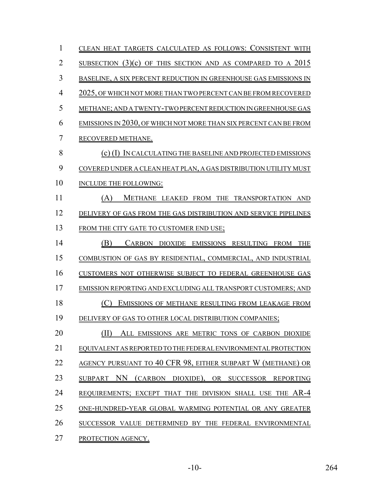| 1              | CLEAN HEAT TARGETS CALCULATED AS FOLLOWS: CONSISTENT WITH         |
|----------------|-------------------------------------------------------------------|
| $\overline{2}$ | SUBSECTION $(3)(c)$ OF THIS SECTION AND AS COMPARED TO A 2015     |
| 3              | BASELINE, A SIX PERCENT REDUCTION IN GREENHOUSE GAS EMISSIONS IN  |
| $\overline{4}$ | 2025, OF WHICH NOT MORE THAN TWO PERCENT CAN BE FROM RECOVERED    |
| 5              | METHANE; AND A TWENTY-TWO PERCENT REDUCTION IN GREENHOUSE GAS     |
| 6              | EMISSIONS IN 2030, OF WHICH NOT MORE THAN SIX PERCENT CAN BE FROM |
| 7              | RECOVERED METHANE.                                                |
| 8              | (c) (I) IN CALCULATING THE BASELINE AND PROJECTED EMISSIONS       |
| 9              | COVERED UNDER A CLEAN HEAT PLAN, A GAS DISTRIBUTION UTILITY MUST  |
| 10             | INCLUDE THE FOLLOWING:                                            |
| 11             | METHANE LEAKED FROM THE TRANSPORTATION AND<br>(A)                 |
| 12             | DELIVERY OF GAS FROM THE GAS DISTRIBUTION AND SERVICE PIPELINES   |
| 13             | FROM THE CITY GATE TO CUSTOMER END USE;                           |
| 14             | (B)<br>CARBON DIOXIDE EMISSIONS RESULTING FROM<br><b>THE</b>      |
| 15             | COMBUSTION OF GAS BY RESIDENTIAL, COMMERCIAL, AND INDUSTRIAL      |
| 16             | CUSTOMERS NOT OTHERWISE SUBJECT TO FEDERAL GREENHOUSE GAS         |
| 17             | EMISSION REPORTING AND EXCLUDING ALL TRANSPORT CUSTOMERS; AND     |
| 18             | EMISSIONS OF METHANE RESULTING FROM LEAKAGE FROM<br>(C)           |
| 19             | DELIVERY OF GAS TO OTHER LOCAL DISTRIBUTION COMPANIES;            |
| 20             | ALL EMISSIONS ARE METRIC TONS OF CARBON DIOXIDE                   |
| 21             | EQUIVALENT AS REPORTED TO THE FEDERAL ENVIRONMENTAL PROTECTION    |
| 22             | AGENCY PURSUANT TO 40 CFR 98, EITHER SUBPART W (METHANE) OR       |
| 23             | NN<br>(CARBON DIOXIDE), OR SUCCESSOR REPORTING<br><b>SUBPART</b>  |
| 24             | REQUIREMENTS; EXCEPT THAT THE DIVISION SHALL USE THE AR-4         |
| 25             | ONE-HUNDRED-YEAR GLOBAL WARMING POTENTIAL OR ANY GREATER          |
| 26             | SUCCESSOR VALUE DETERMINED BY THE FEDERAL ENVIRONMENTAL           |
| 27             | PROTECTION AGENCY.                                                |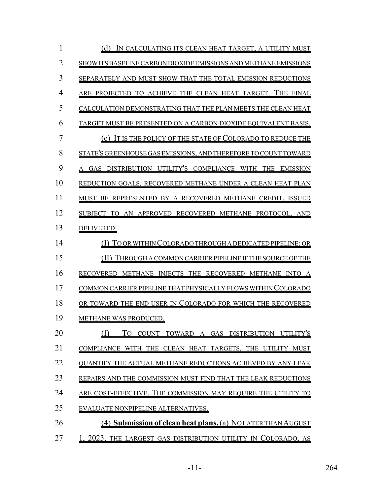| 1              | (d)<br>IN CALCULATING ITS CLEAN HEAT TARGET, A UTILITY MUST               |
|----------------|---------------------------------------------------------------------------|
| $\overline{2}$ | SHOW ITS BASELINE CARBON DIOXIDE EMISSIONS AND METHANE EMISSIONS          |
| 3              | SEPARATELY AND MUST SHOW THAT THE TOTAL EMISSION REDUCTIONS               |
| 4              | ARE PROJECTED TO ACHIEVE THE CLEAN HEAT TARGET. THE FINAL                 |
| 5              | CALCULATION DEMONSTRATING THAT THE PLAN MEETS THE CLEAN HEAT              |
| 6              | TARGET MUST BE PRESENTED ON A CARBON DIOXIDE EQUIVALENT BASIS.            |
| 7              | (e) IT IS THE POLICY OF THE STATE OF COLORADO TO REDUCE THE               |
| 8              | STATE'S GREENHOUSE GAS EMISSIONS, AND THEREFORE TO COUNT TOWARD           |
| 9              | A GAS DISTRIBUTION UTILITY'S COMPLIANCE WITH THE EMISSION                 |
| 10             | REDUCTION GOALS, RECOVERED METHANE UNDER A CLEAN HEAT PLAN                |
| 11             | MUST BE REPRESENTED BY A RECOVERED METHANE CREDIT, ISSUED                 |
| 12             | SUBJECT TO AN APPROVED RECOVERED METHANE PROTOCOL, AND                    |
| 13             | DELIVERED:                                                                |
| 14             | TO OR WITHIN COLORADO THROUGH A DEDICATED PIPELINE; OR                    |
| 15             | THROUGH A COMMON CARRIER PIPELINE IF THE SOURCE OF THE<br>(11)            |
| 16             | RECOVERED METHANE INJECTS THE RECOVERED METHANE INTO A                    |
| 17             | COMMON CARRIER PIPELINE THAT PHYSICALLY FLOWS WITHIN COLORADO             |
| 18             | OR TOWARD THE END USER IN COLORADO FOR WHICH THE RECOVERED                |
| 19             | METHANE WAS PRODUCED.                                                     |
| 20             | TO COUNT TOWARD A GAS DISTRIBUTION UTILITY'S<br>(† )                      |
| 21             | COMPLIANCE WITH THE CLEAN HEAT TARGETS, THE UTILITY MUST                  |
| 22             | OUANTIFY THE ACTUAL METHANE REDUCTIONS ACHIEVED BY ANY LEAK               |
| 23             | REPAIRS AND THE COMMISSION MUST FIND THAT THE LEAK REDUCTIONS             |
| 24             | ARE COST-EFFECTIVE. THE COMMISSION MAY REQUIRE THE UTILITY TO             |
| 25             | EVALUATE NONPIPELINE ALTERNATIVES.                                        |
| 26             | (4) <b>Submission of clean heat plans.</b> (a) <b>NOLATER THAN AUGUST</b> |
| 27             | 1, 2023, THE LARGEST GAS DISTRIBUTION UTILITY IN COLORADO, AS             |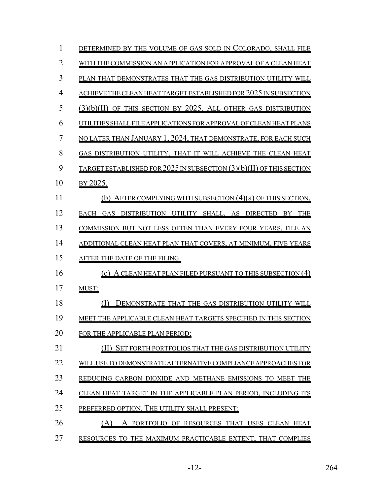| $\mathbf{1}$   | DETERMINED BY THE VOLUME OF GAS SOLD IN COLORADO, SHALL FILE            |
|----------------|-------------------------------------------------------------------------|
| $\overline{2}$ | WITH THE COMMISSION AN APPLICATION FOR APPROVAL OF A CLEAN HEAT         |
| $\overline{3}$ | PLAN THAT DEMONSTRATES THAT THE GAS DISTRIBUTION UTILITY WILL           |
| $\overline{4}$ | ACHIEVE THE CLEAN HEAT TARGET ESTABLISHED FOR 2025 IN SUBSECTION        |
| 5              | $(3)(b)(II)$ of this section by 2025. All other gas distribution        |
| 6              | UTILITIES SHALL FILE APPLICATIONS FOR APPROVAL OF CLEAN HEAT PLANS      |
| 7              | NO LATER THAN JANUARY 1, 2024, THAT DEMONSTRATE, FOR EACH SUCH          |
| 8              | GAS DISTRIBUTION UTILITY, THAT IT WILL ACHIEVE THE CLEAN HEAT           |
| 9              | TARGET ESTABLISHED FOR 2025 IN SUBSECTION (3)(b)(II) OF THIS SECTION    |
| 10             | BY 2025.                                                                |
| 11             | (b) AFTER COMPLYING WITH SUBSECTION $(4)(a)$ OF THIS SECTION,           |
| 12             | DISTRIBUTION UTILITY SHALL, AS DIRECTED<br>EACH<br><b>GAS</b><br>BY THE |
| 13             | COMMISSION BUT NOT LESS OFTEN THAN EVERY FOUR YEARS, FILE AN            |
| 14             | ADDITIONAL CLEAN HEAT PLAN THAT COVERS, AT MINIMUM, FIVE YEARS          |
| 15             | AFTER THE DATE OF THE FILING.                                           |
| 16             | (c) A CLEAN HEAT PLAN FILED PURSUANT TO THIS SUBSECTION (4)             |
| 17             | MUST:                                                                   |
| 18             | (I)<br>DEMONSTRATE THAT THE GAS DISTRIBUTION UTILITY WILL               |
| 19             | MEET THE APPLICABLE CLEAN HEAT TARGETS SPECIFIED IN THIS SECTION        |
| 20             | FOR THE APPLICABLE PLAN PERIOD;                                         |
| 21             | SET FORTH PORTFOLIOS THAT THE GAS DISTRIBUTION UTILITY                  |
| 22             | WILL USE TO DEMONSTRATE ALTERNATIVE COMPLIANCE APPROACHES FOR           |
| 23             | REDUCING CARBON DIOXIDE AND METHANE EMISSIONS TO MEET THE               |
| 24             | CLEAN HEAT TARGET IN THE APPLICABLE PLAN PERIOD, INCLUDING ITS          |
| 25             | PREFERRED OPTION. THE UTILITY SHALL PRESENT:                            |
| 26             | (A)<br>A PORTFOLIO OF RESOURCES THAT USES CLEAN HEAT                    |
| 27             | RESOURCES TO THE MAXIMUM PRACTICABLE EXTENT, THAT COMPLIES              |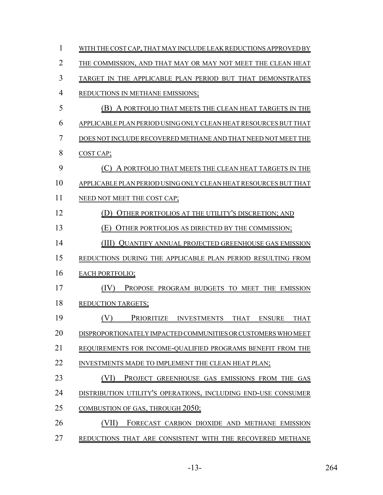| 1              | WITH THE COST CAP, THAT MAY INCLUDE LEAK REDUCTIONS APPROVED BY |
|----------------|-----------------------------------------------------------------|
| $\overline{2}$ | THE COMMISSION, AND THAT MAY OR MAY NOT MEET THE CLEAN HEAT     |
| 3              | TARGET IN THE APPLICABLE PLAN PERIOD BUT THAT DEMONSTRATES      |
| $\overline{4}$ | REDUCTIONS IN METHANE EMISSIONS;                                |
| 5              | (B) A PORTFOLIO THAT MEETS THE CLEAN HEAT TARGETS IN THE        |
| 6              | APPLICABLE PLAN PERIOD USING ONLY CLEAN HEAT RESOURCES BUT THAT |
| 7              | DOES NOT INCLUDE RECOVERED METHANE AND THAT NEED NOT MEET THE   |
| 8              | COST CAP;                                                       |
| 9              | (C) A PORTFOLIO THAT MEETS THE CLEAN HEAT TARGETS IN THE        |
| 10             | APPLICABLE PLAN PERIOD USING ONLY CLEAN HEAT RESOURCES BUT THAT |
| 11             | NEED NOT MEET THE COST CAP;                                     |
| 12             | OTHER PORTFOLIOS AT THE UTILITY'S DISCRETION; AND               |
| 13             | OTHER PORTFOLIOS AS DIRECTED BY THE COMMISSION;<br>(E)          |
| 14             | (III) QUANTIFY ANNUAL PROJECTED GREENHOUSE GAS EMISSION         |
| 15             | REDUCTIONS DURING THE APPLICABLE PLAN PERIOD RESULTING FROM     |
| 16             | <b>EACH PORTFOLIO;</b>                                          |
| 17             | PROPOSE PROGRAM BUDGETS TO MEET THE EMISSION<br>(IV)            |
| 18             | <b>REDUCTION TARGETS;</b>                                       |
| 19             | (V)<br>PRIORITIZE INVESTMENTS THAT ENSURE THAT                  |
| 20             | DISPROPORTIONATELY IMPACTED COMMUNITIES OR CUSTOMERS WHO MEET   |
| 21             | REQUIREMENTS FOR INCOME-QUALIFIED PROGRAMS BENEFIT FROM THE     |
| 22             | INVESTMENTS MADE TO IMPLEMENT THE CLEAN HEAT PLAN;              |
| 23             | (VI)<br>PROJECT GREENHOUSE GAS EMISSIONS FROM THE GAS           |
| 24             | DISTRIBUTION UTILITY'S OPERATIONS, INCLUDING END-USE CONSUMER   |
| 25             | <b>COMBUSTION OF GAS, THROUGH 2050;</b>                         |
| 26             | (VII)<br>FORECAST CARBON DIOXIDE AND METHANE EMISSION           |
| 27             | REDUCTIONS THAT ARE CONSISTENT WITH THE RECOVERED METHANE       |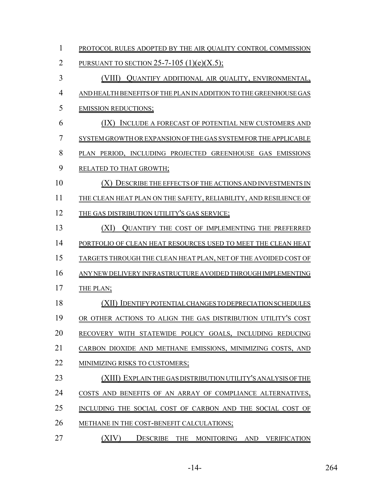PROTOCOL RULES ADOPTED BY THE AIR QUALITY CONTROL COMMISSION 2 PURSUANT TO SECTION 25-7-105 (1)(e)(X.5); (VIII) QUANTIFY ADDITIONAL AIR QUALITY, ENVIRONMENTAL, AND HEALTH BENEFITS OF THE PLAN IN ADDITION TO THE GREENHOUSE GAS EMISSION REDUCTIONS; (IX) INCLUDE A FORECAST OF POTENTIAL NEW CUSTOMERS AND SYSTEM GROWTH OR EXPANSION OF THE GAS SYSTEM FOR THE APPLICABLE PLAN PERIOD, INCLUDING PROJECTED GREENHOUSE GAS EMISSIONS RELATED TO THAT GROWTH; (X) DESCRIBE THE EFFECTS OF THE ACTIONS AND INVESTMENTS IN THE CLEAN HEAT PLAN ON THE SAFETY, RELIABILITY, AND RESILIENCE OF 12 THE GAS DISTRIBUTION UTILITY'S GAS SERVICE; (XI) QUANTIFY THE COST OF IMPLEMENTING THE PREFERRED PORTFOLIO OF CLEAN HEAT RESOURCES USED TO MEET THE CLEAN HEAT TARGETS THROUGH THE CLEAN HEAT PLAN, NET OF THE AVOIDED COST OF ANY NEW DELIVERY INFRASTRUCTURE AVOIDED THROUGH IMPLEMENTING 17 THE PLAN; (XII) IDENTIFY POTENTIAL CHANGES TO DEPRECIATION SCHEDULES OR OTHER ACTIONS TO ALIGN THE GAS DISTRIBUTION UTILITY'S COST RECOVERY WITH STATEWIDE POLICY GOALS, INCLUDING REDUCING CARBON DIOXIDE AND METHANE EMISSIONS, MINIMIZING COSTS, AND 22 MINIMIZING RISKS TO CUSTOMERS; (XIII) EXPLAIN THE GAS DISTRIBUTION UTILITY'S ANALYSIS OF THE COSTS AND BENEFITS OF AN ARRAY OF COMPLIANCE ALTERNATIVES, 25 INCLUDING THE SOCIAL COST OF CARBON AND THE SOCIAL COST OF 26 METHANE IN THE COST-BENEFIT CALCULATIONS; 27 (XIV) DESCRIBE THE MONITORING AND VERIFICATION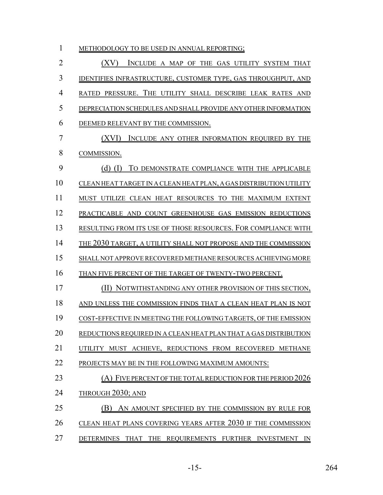| $\mathbf{1}$   | METHODOLOGY TO BE USED IN ANNUAL REPORTING;                            |
|----------------|------------------------------------------------------------------------|
| $\overline{2}$ | (XV)<br>INCLUDE A MAP OF THE GAS UTILITY SYSTEM THAT                   |
| 3              | <b>IDENTIFIES INFRASTRUCTURE, CUSTOMER TYPE, GAS THROUGHPUT, AND</b>   |
| $\overline{4}$ | RATED PRESSURE. THE UTILITY SHALL DESCRIBE LEAK RATES AND              |
| 5              | DEPRECIATION SCHEDULES AND SHALL PROVIDE ANY OTHER INFORMATION         |
| 6              | DEEMED RELEVANT BY THE COMMISSION.                                     |
| 7              | (XVI) INCLUDE ANY OTHER INFORMATION REQUIRED BY THE                    |
| 8              | COMMISSION.                                                            |
| 9              | TO DEMONSTRATE COMPLIANCE WITH THE APPLICABLE<br>$(d)$ $(I)$           |
| 10             | CLEAN HEAT TARGET IN A CLEAN HEAT PLAN, A GAS DISTRIBUTION UTILITY     |
| 11             | MUST UTILIZE CLEAN HEAT RESOURCES TO THE MAXIMUM EXTENT                |
| 12             | PRACTICABLE AND COUNT GREENHOUSE GAS EMISSION REDUCTIONS               |
| 13             | RESULTING FROM ITS USE OF THOSE RESOURCES. FOR COMPLIANCE WITH         |
| 14             | <u>THE 2030 TARGET, A UTILITY SHALL NOT PROPOSE AND THE COMMISSION</u> |
| 15             | SHALL NOT APPROVE RECOVERED METHANE RESOURCES ACHIEVING MORE           |
| 16             | THAN FIVE PERCENT OF THE TARGET OF TWENTY-TWO PERCENT.                 |
| 17             | (II) NOTWITHSTANDING ANY OTHER PROVISION OF THIS SECTION,              |
| 18             | AND UNLESS THE COMMISSION FINDS THAT A CLEAN HEAT PLAN IS NOT          |
| 19             | COST-EFFECTIVE IN MEETING THE FOLLOWING TARGETS, OF THE EMISSION       |
| 20             | REDUCTIONS REQUIRED IN A CLEAN HEAT PLAN THAT A GAS DISTRIBUTION       |
| 21             | UTILITY MUST ACHIEVE, REDUCTIONS FROM RECOVERED METHANE                |
| 22             | PROJECTS MAY BE IN THE FOLLOWING MAXIMUM AMOUNTS:                      |
| 23             | $(A)$ FIVE PERCENT OF THE TOTAL REDUCTION FOR THE PERIOD 2026          |
| 24             | <b>THROUGH 2030; AND</b>                                               |
| 25             | (B) AN AMOUNT SPECIFIED BY THE COMMISSION BY RULE FOR                  |
| 26             | CLEAN HEAT PLANS COVERING YEARS AFTER 2030 IF THE COMMISSION           |
| 27             | DETERMINES THAT THE REQUIREMENTS FURTHER INVESTMENT IN                 |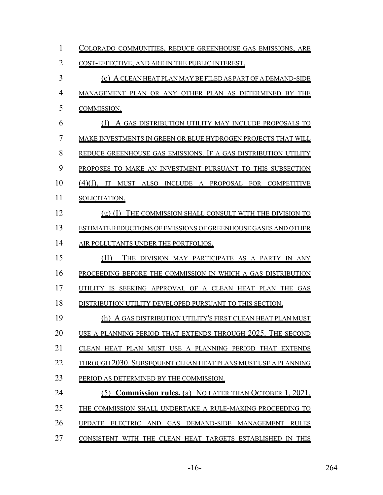| $\mathbf{1}$   | COLORADO COMMUNITIES, REDUCE GREENHOUSE GAS EMISSIONS, ARE     |
|----------------|----------------------------------------------------------------|
| $\overline{2}$ | COST-EFFECTIVE, AND ARE IN THE PUBLIC INTEREST.                |
| 3              | (e) A CLEAN HEAT PLAN MAY BE FILED AS PART OF A DEMAND-SIDE    |
| $\overline{4}$ | MANAGEMENT PLAN OR ANY OTHER PLAN AS DETERMINED BY THE         |
| 5              | COMMISSION.                                                    |
| 6              | (f) A GAS DISTRIBUTION UTILITY MAY INCLUDE PROPOSALS TO        |
| $\overline{7}$ | MAKE INVESTMENTS IN GREEN OR BLUE HYDROGEN PROJECTS THAT WILL  |
| 8              | REDUCE GREENHOUSE GAS EMISSIONS. IF A GAS DISTRIBUTION UTILITY |
| 9              | PROPOSES TO MAKE AN INVESTMENT PURSUANT TO THIS SUBSECTION     |
| 10             | (4)(f), IT MUST ALSO INCLUDE A PROPOSAL FOR COMPETITIVE        |
| 11             | SOLICITATION.                                                  |
| 12             | $(g)$ (I) THE COMMISSION SHALL CONSULT WITH THE DIVISION TO    |
| 13             | ESTIMATE REDUCTIONS OF EMISSIONS OF GREENHOUSE GASES AND OTHER |
| 14             | AIR POLLUTANTS UNDER THE PORTFOLIOS.                           |
| 15             | (II)<br>THE DIVISION MAY PARTICIPATE AS A PARTY IN ANY         |
| 16             | PROCEEDING BEFORE THE COMMISSION IN WHICH A GAS DISTRIBUTION   |
| 17             | UTILITY IS SEEKING APPROVAL OF A CLEAN HEAT PLAN THE GAS       |
| 18             | DISTRIBUTION UTILITY DEVELOPED PURSUANT TO THIS SECTION.       |
| 19             | (h) A GAS DISTRIBUTION UTILITY'S FIRST CLEAN HEAT PLAN MUST    |
| 20             | USE A PLANNING PERIOD THAT EXTENDS THROUGH 2025. THE SECOND    |
| 21             | CLEAN HEAT PLAN MUST USE A PLANNING PERIOD THAT EXTENDS        |
| 22             | THROUGH 2030. SUBSEQUENT CLEAN HEAT PLANS MUST USE A PLANNING  |
| 23             | PERIOD AS DETERMINED BY THE COMMISSION.                        |
| 24             | (5) Commission rules. (a) NO LATER THAN OCTOBER 1, 2021,       |
| 25             | THE COMMISSION SHALL UNDERTAKE A RULE-MAKING PROCEEDING TO     |
| 26             | UPDATE ELECTRIC AND GAS DEMAND-SIDE MANAGEMENT RULES           |
| 27             | CONSISTENT WITH THE CLEAN HEAT TARGETS ESTABLISHED IN THIS     |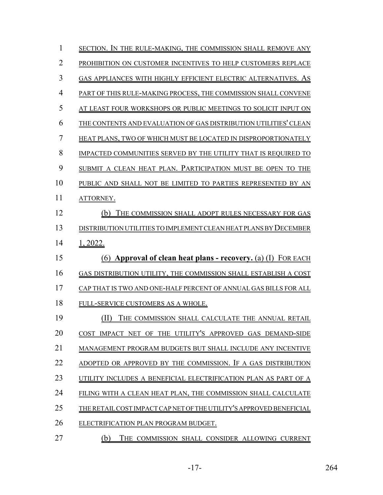| $\mathbf{1}$   | SECTION. IN THE RULE-MAKING, THE COMMISSION SHALL REMOVE ANY        |
|----------------|---------------------------------------------------------------------|
| $\overline{2}$ | PROHIBITION ON CUSTOMER INCENTIVES TO HELP CUSTOMERS REPLACE        |
| 3              | GAS APPLIANCES WITH HIGHLY EFFICIENT ELECTRIC ALTERNATIVES. AS      |
| $\overline{4}$ | PART OF THIS RULE-MAKING PROCESS, THE COMMISSION SHALL CONVENE      |
| 5              | AT LEAST FOUR WORKSHOPS OR PUBLIC MEETINGS TO SOLICIT INPUT ON      |
| 6              | THE CONTENTS AND EVALUATION OF GAS DISTRIBUTION UTILITIES' CLEAN    |
| 7              | HEAT PLANS, TWO OF WHICH MUST BE LOCATED IN DISPROPORTIONATELY      |
| 8              | IMPACTED COMMUNITIES SERVED BY THE UTILITY THAT IS REQUIRED TO      |
| 9              | SUBMIT A CLEAN HEAT PLAN. PARTICIPATION MUST BE OPEN TO THE         |
| 10             | PUBLIC AND SHALL NOT BE LIMITED TO PARTIES REPRESENTED BY AN        |
| 11             | ATTORNEY.                                                           |
| 12             | (b) THE COMMISSION SHALL ADOPT RULES NECESSARY FOR GAS              |
| 13             | DISTRIBUTION UTILITIES TO IMPLEMENT CLEAN HEAT PLANS BY DECEMBER    |
| 14             | 1, 2022.                                                            |
| 15             | (6) Approval of clean heat plans - recovery. (a) (I) FOR EACH       |
| 16             | GAS DISTRIBUTION UTILITY, THE COMMISSION SHALL ESTABLISH A COST     |
| 17             | CAP THAT IS TWO AND ONE-HALF PERCENT OF ANNUAL GAS BILLS FOR ALL    |
| 18             | FULL-SERVICE CUSTOMERS AS A WHOLE.                                  |
| 19             | (II)<br>THE COMMISSION SHALL CALCULATE THE ANNUAL RETAIL            |
| 20             | COST IMPACT NET OF THE UTILITY'S APPROVED GAS DEMAND-SIDE           |
| 21             | MANAGEMENT PROGRAM BUDGETS BUT SHALL INCLUDE ANY INCENTIVE          |
| 22             | ADOPTED OR APPROVED BY THE COMMISSION. IF A GAS DISTRIBUTION        |
| 23             | UTILITY INCLUDES A BENEFICIAL ELECTRIFICATION PLAN AS PART OF A     |
| 24             | FILING WITH A CLEAN HEAT PLAN, THE COMMISSION SHALL CALCULATE       |
| 25             | THE RETAIL COST IMPACT CAP NET OF THE UTILITY'S APPROVED BENEFICIAL |
| 26             | ELECTRIFICATION PLAN PROGRAM BUDGET.                                |
| 27             | (b)<br>THE COMMISSION SHALL CONSIDER ALLOWING CURRENT               |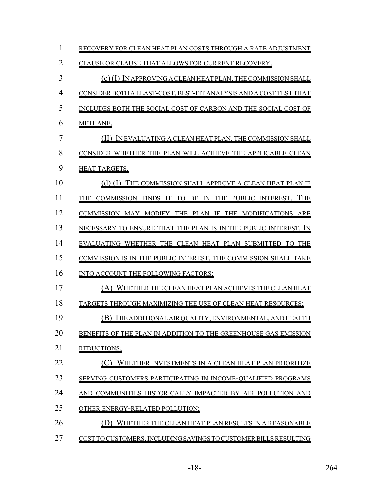| $\mathbf{1}$   | RECOVERY FOR CLEAN HEAT PLAN COSTS THROUGH A RATE ADJUSTMENT       |
|----------------|--------------------------------------------------------------------|
| $\overline{2}$ | CLAUSE OR CLAUSE THAT ALLOWS FOR CURRENT RECOVERY.                 |
| 3              | (c) (I) IN APPROVING A CLEAN HEAT PLAN, THE COMMISSION SHALL       |
| $\overline{4}$ | CONSIDER BOTH A LEAST-COST, BEST-FIT ANALYSIS AND A COST TEST THAT |
| 5              | INCLUDES BOTH THE SOCIAL COST OF CARBON AND THE SOCIAL COST OF     |
| 6              | METHANE.                                                           |
| 7              | (II) IN EVALUATING A CLEAN HEAT PLAN, THE COMMISSION SHALL         |
| 8              | CONSIDER WHETHER THE PLAN WILL ACHIEVE THE APPLICABLE CLEAN        |
| 9              | HEAT TARGETS.                                                      |
| 10             | (d) (I) THE COMMISSION SHALL APPROVE A CLEAN HEAT PLAN IF          |
| 11             | THE COMMISSION FINDS IT TO BE IN THE PUBLIC INTEREST. THE          |
| 12             | COMMISSION MAY MODIFY THE PLAN IF THE MODIFICATIONS ARE            |
| 13             | NECESSARY TO ENSURE THAT THE PLAN IS IN THE PUBLIC INTEREST. IN    |
| 14             | EVALUATING WHETHER THE CLEAN HEAT PLAN SUBMITTED TO THE            |
| 15             | COMMISSION IS IN THE PUBLIC INTEREST, THE COMMISSION SHALL TAKE    |
| 16             | INTO ACCOUNT THE FOLLOWING FACTORS:                                |
| 17             | (A) WHETHER THE CLEAN HEAT PLAN ACHIEVES THE CLEAN HEAT            |
| 18             | TARGETS THROUGH MAXIMIZING THE USE OF CLEAN HEAT RESOURCES;        |
| 19             | (B) THE ADDITIONAL AIR QUALITY, ENVIRONMENTAL, AND HEALTH          |
| 20             | BENEFITS OF THE PLAN IN ADDITION TO THE GREENHOUSE GAS EMISSION    |
| 21             | REDUCTIONS;                                                        |
| 22             | WHETHER INVESTMENTS IN A CLEAN HEAT PLAN PRIORITIZE                |
| 23             | SERVING CUSTOMERS PARTICIPATING IN INCOME-QUALIFIED PROGRAMS       |
| 24             | AND COMMUNITIES HISTORICALLY IMPACTED BY AIR POLLUTION AND         |
| 25             | OTHER ENERGY-RELATED POLLUTION;                                    |
| 26             | WHETHER THE CLEAN HEAT PLAN RESULTS IN A REASONABLE                |
| 27             | COST TO CUSTOMERS, INCLUDING SAVINGS TO CUSTOMER BILLS RESULTING   |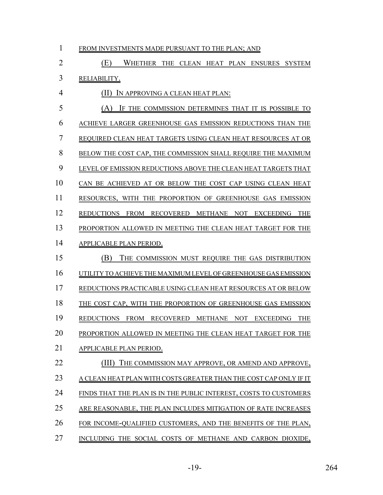| $\overline{2}$ | (E)<br>WHETHER THE CLEAN HEAT PLAN ENSURES SYSTEM                                                               |
|----------------|-----------------------------------------------------------------------------------------------------------------|
| 3              | RELIABILITY.                                                                                                    |
| $\overline{4}$ | IN APPROVING A CLEAN HEAT PLAN:                                                                                 |
| 5              | IF THE COMMISSION DETERMINES THAT IT IS POSSIBLE TO<br>(A)                                                      |
| 6              | ACHIEVE LARGER GREENHOUSE GAS EMISSION REDUCTIONS THAN THE                                                      |
| 7              | REQUIRED CLEAN HEAT TARGETS USING CLEAN HEAT RESOURCES AT OR                                                    |
| 8              | BELOW THE COST CAP, THE COMMISSION SHALL REQUIRE THE MAXIMUM                                                    |
| 9              | LEVEL OF EMISSION REDUCTIONS ABOVE THE CLEAN HEAT TARGETS THAT                                                  |
| 10             | CAN BE ACHIEVED AT OR BELOW THE COST CAP USING CLEAN HEAT                                                       |
| 11             | RESOURCES, WITH THE PROPORTION OF GREENHOUSE GAS EMISSION                                                       |
| 12             | <b>REDUCTIONS</b><br><b>FROM</b><br><b>RECOVERED</b><br><b>EXCEEDING</b><br>METHANE<br><b>NOT</b><br><b>THE</b> |
| 13             | PROPORTION ALLOWED IN MEETING THE CLEAN HEAT TARGET FOR THE                                                     |
| 14             | APPLICABLE PLAN PERIOD.                                                                                         |
| 15             | (B)<br>THE COMMISSION MUST REQUIRE THE GAS DISTRIBUTION                                                         |
| 16             | UTILITY TO ACHIEVE THE MAXIMUM LEVEL OF GREENHOUSE GAS EMISSION                                                 |
| 17             | REDUCTIONS PRACTICABLE USING CLEAN HEAT RESOURCES AT OR BELOW                                                   |
| 18             | THE COST CAP, WITH THE PROPORTION OF GREENHOUSE GAS EMISSION                                                    |
| 19             | <b>REDUCTIONS</b><br>FROM RECOVERED METHANE NOT EXCEEDING<br><b>THE</b>                                         |
| 20             | PROPORTION ALLOWED IN MEETING THE CLEAN HEAT TARGET FOR THE                                                     |
| 21             | APPLICABLE PLAN PERIOD.                                                                                         |
| 22             | (III) THE COMMISSION MAY APPROVE, OR AMEND AND APPROVE,                                                         |

1 FROM INVESTMENTS MADE PURSUANT TO THE PLAN; AND

- 
- 23 A CLEAN HEAT PLAN WITH COSTS GREATER THAN THE COST CAP ONLY IF IT
- 24 FINDS THAT THE PLAN IS IN THE PUBLIC INTEREST, COSTS TO CUSTOMERS
- ARE REASONABLE, THE PLAN INCLUDES MITIGATION OF RATE INCREASES
- FOR INCOME-QUALIFIED CUSTOMERS, AND THE BENEFITS OF THE PLAN,
- 27 INCLUDING THE SOCIAL COSTS OF METHANE AND CARBON DIOXIDE,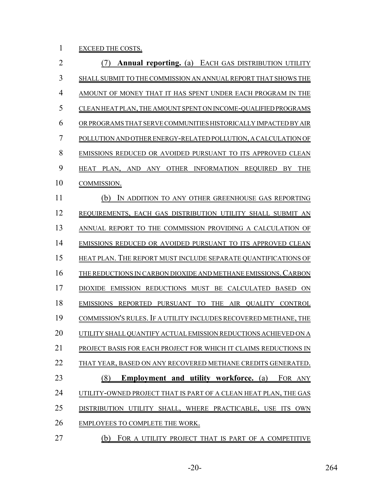1 EXCEED THE COSTS.

| $\overline{2}$ | (7) Annual reporting. (a) EACH GAS DISTRIBUTION UTILITY               |
|----------------|-----------------------------------------------------------------------|
| 3              | SHALL SUBMIT TO THE COMMISSION AN ANNUAL REPORT THAT SHOWS THE        |
| $\overline{4}$ | AMOUNT OF MONEY THAT IT HAS SPENT UNDER EACH PROGRAM IN THE           |
| 5              | CLEAN HEAT PLAN, THE AMOUNT SPENT ON INCOME-QUALIFIED PROGRAMS        |
| 6              | OR PROGRAMS THAT SERVE COMMUNITIES HISTORICALLY IMPACTED BY AIR       |
| 7              | POLLUTION AND OTHER ENERGY-RELATED POLLUTION, A CALCULATION OF        |
| 8              | EMISSIONS REDUCED OR AVOIDED PURSUANT TO ITS APPROVED CLEAN           |
| 9              | HEAT PLAN, AND ANY OTHER INFORMATION REQUIRED BY THE                  |
| 10             | <b>COMMISSION.</b>                                                    |
| 11             | (b) IN ADDITION TO ANY OTHER GREENHOUSE GAS REPORTING                 |
| 12             | REQUIREMENTS, EACH GAS DISTRIBUTION UTILITY SHALL SUBMIT AN           |
| 13             | <u>ANNUAL REPORT TO THE COMMISSION PROVIDING A CALCULATION OF</u>     |
| 14             | <b>EMISSIONS REDUCED OR AVOIDED PURSUANT TO ITS APPROVED CLEAN</b>    |
| 15             | <u>HEAT PLAN. THE REPORT MUST INCLUDE SEPARATE QUANTIFICATIONS OF</u> |
| 16             | <u>THE REDUCTIONS IN CARBON DIOXIDE AND METHANE EMISSIONS. CARBON</u> |
| 17             | DIOXIDE EMISSION REDUCTIONS MUST BE CALCULATED BASED ON               |
| 18             | EMISSIONS REPORTED PURSUANT TO THE AIR QUALITY CONTROL                |
| 19             | COMMISSION'S RULES. IF A UTILITY INCLUDES RECOVERED METHANE, THE      |
| 20             | UTILITY SHALL QUANTIFY ACTUAL EMISSION REDUCTIONS ACHIEVED ON A       |
| 21             | PROJECT BASIS FOR EACH PROJECT FOR WHICH IT CLAIMS REDUCTIONS IN      |
| 22             | THAT YEAR, BASED ON ANY RECOVERED METHANE CREDITS GENERATED.          |
| 23             | (8)<br><b>Employment and utility workforce.</b> (a) FOR ANY           |
| 24             | UTILITY-OWNED PROJECT THAT IS PART OF A CLEAN HEAT PLAN, THE GAS      |
| 25             | DISTRIBUTION UTILITY SHALL, WHERE PRACTICABLE, USE ITS OWN            |
| 26             | EMPLOYEES TO COMPLETE THE WORK.                                       |
| っっ             | $(h)$ $\Gamma$ on                                                     |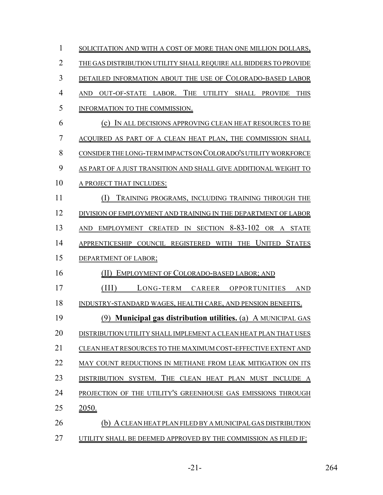| 1              | SOLICITATION AND WITH A COST OF MORE THAN ONE MILLION DOLLARS,       |
|----------------|----------------------------------------------------------------------|
| $\overline{2}$ | THE GAS DISTRIBUTION UTILITY SHALL REQUIRE ALL BIDDERS TO PROVIDE    |
| 3              | DETAILED INFORMATION ABOUT THE USE OF COLORADO-BASED LABOR           |
| $\overline{4}$ | AND OUT-OF-STATE LABOR. THE UTILITY SHALL PROVIDE<br><b>THIS</b>     |
| 5              | INFORMATION TO THE COMMISSION.                                       |
| 6              | (c) IN ALL DECISIONS APPROVING CLEAN HEAT RESOURCES TO BE            |
| 7              | ACQUIRED AS PART OF A CLEAN HEAT PLAN, THE COMMISSION SHALL          |
| 8              | CONSIDER THE LONG-TERM IMPACTS ON COLORADO'S UTILITY WORKFORCE       |
| 9              | AS PART OF A JUST TRANSITION AND SHALL GIVE ADDITIONAL WEIGHT TO     |
| 10             | A PROJECT THAT INCLUDES:                                             |
| 11             | (1)<br>TRAINING PROGRAMS, INCLUDING TRAINING THROUGH THE             |
| 12             | DIVISION OF EMPLOYMENT AND TRAINING IN THE DEPARTMENT OF LABOR       |
| 13             | AND EMPLOYMENT CREATED IN SECTION 8-83-102 OR A STATE                |
| 14             | APPRENTICESHIP COUNCIL REGISTERED WITH THE UNITED STATES             |
| 15             | DEPARTMENT OF LABOR;                                                 |
| 16             | (II) EMPLOYMENT OF COLORADO-BASED LABOR; AND                         |
| 17             | (III)<br>LONG-TERM CAREER OPPORTUNITIES<br><b>AND</b>                |
| 18             | INDUSTRY-STANDARD WAGES, HEALTH CARE, AND PENSION BENEFITS.          |
| 19             | (9) <b>Municipal gas distribution utilities.</b> (a) A MUNICIPAL GAS |
| 20             | DISTRIBUTION UTILITY SHALL IMPLEMENT A CLEAN HEAT PLAN THAT USES     |
| 21             | CLEAN HEAT RESOURCES TO THE MAXIMUM COST-EFFECTIVE EXTENT AND        |
| 22             | MAY COUNT REDUCTIONS IN METHANE FROM LEAK MITIGATION ON ITS          |
| 23             | DISTRIBUTION SYSTEM. THE CLEAN HEAT PLAN MUST INCLUDE<br>A           |
| 24             | PROJECTION OF THE UTILITY'S GREENHOUSE GAS EMISSIONS THROUGH         |
| 25             | <u>2050.</u>                                                         |
| 26             | (b) A CLEAN HEAT PLAN FILED BY A MUNICIPAL GAS DISTRIBUTION          |
| 27             | UTILITY SHALL BE DEEMED APPROVED BY THE COMMISSION AS FILED IF:      |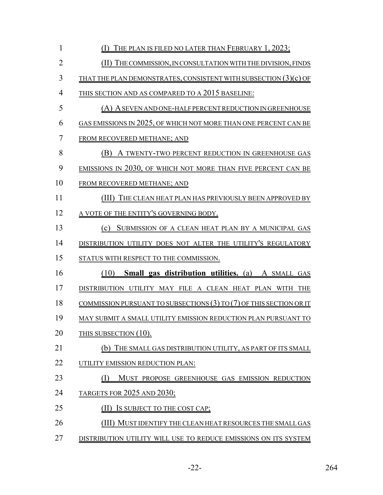| 1              | THE PLAN IS FILED NO LATER THAN FEBRUARY 1, 2023;                       |
|----------------|-------------------------------------------------------------------------|
| $\overline{2}$ | (II) THE COMMISSION, IN CONSULTATION WITH THE DIVISION, FINDS           |
| 3              | THAT THE PLAN DEMONSTRATES, CONSISTENT WITH SUBSECTION $(3)(c)$ OF      |
| $\overline{4}$ | THIS SECTION AND AS COMPARED TO A 2015 BASELINE:                        |
| 5              | (A) A SEVEN AND ONE-HALF PERCENT REDUCTION IN GREENHOUSE                |
| 6              | GAS EMISSIONS IN 2025, OF WHICH NOT MORE THAN ONE PERCENT CAN BE        |
| 7              | FROM RECOVERED METHANE; AND                                             |
| 8              | (B) A TWENTY-TWO PERCENT REDUCTION IN GREENHOUSE GAS                    |
| 9              | <b>EMISSIONS IN 2030, OF WHICH NOT MORE THAN FIVE PERCENT CAN BE</b>    |
| 10             | FROM RECOVERED METHANE; AND                                             |
| 11             | (III) THE CLEAN HEAT PLAN HAS PREVIOUSLY BEEN APPROVED BY               |
| 12             | A VOTE OF THE ENTITY'S GOVERNING BODY.                                  |
| 13             | (c) SUBMISSION OF A CLEAN HEAT PLAN BY A MUNICIPAL GAS                  |
| 14             | DISTRIBUTION UTILITY DOES NOT ALTER THE UTILITY'S REGULATORY            |
| 15             | STATUS WITH RESPECT TO THE COMMISSION.                                  |
| 16             | <b>Small gas distribution utilities.</b> (a) A SMALL GAS<br>(10)        |
| 17             | DISTRIBUTION UTILITY MAY FILE A CLEAN HEAT PLAN WITH THE                |
| 18             | COMMISSION PURSUANT TO SUBSECTIONS $(3)$ TO $(7)$ OF THIS SECTION OR IT |
| 19             | MAY SUBMIT A SMALL UTILITY EMISSION REDUCTION PLAN PURSUANT TO          |
| 20             | THIS SUBSECTION (10).                                                   |
| 21             | (b) THE SMALL GAS DISTRIBUTION UTILITY, AS PART OF ITS SMALL            |
| 22             | UTILITY EMISSION REDUCTION PLAN:                                        |
| 23             | MUST PROPOSE GREENHOUSE GAS EMISSION REDUCTION                          |
| 24             | TARGETS FOR 2025 AND 2030;                                              |
| 25             | IS SUBJECT TO THE COST CAP;                                             |
| 26             | (III) MUST IDENTIFY THE CLEAN HEAT RESOURCES THE SMALL GAS              |
| 27             | DISTRIBUTION UTILITY WILL USE TO REDUCE EMISSIONS ON ITS SYSTEM         |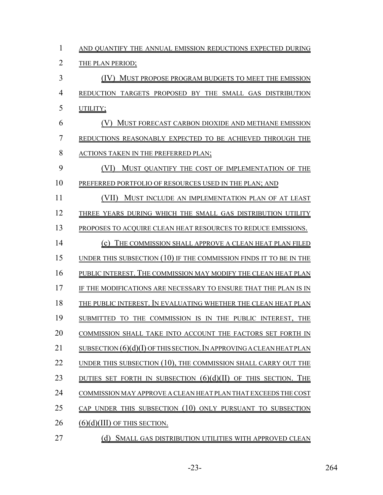| 1              | AND QUANTIFY THE ANNUAL EMISSION REDUCTIONS EXPECTED DURING            |
|----------------|------------------------------------------------------------------------|
| $\overline{2}$ | THE PLAN PERIOD;                                                       |
| 3              | (IV) MUST PROPOSE PROGRAM BUDGETS TO MEET THE EMISSION                 |
| $\overline{4}$ | REDUCTION TARGETS PROPOSED BY THE SMALL GAS DISTRIBUTION               |
| 5              | UTILITY;                                                               |
| 6              | MUST FORECAST CARBON DIOXIDE AND METHANE EMISSION                      |
| 7              | REDUCTIONS REASONABLY EXPECTED TO BE ACHIEVED THROUGH THE              |
| 8              | ACTIONS TAKEN IN THE PREFERRED PLAN;                                   |
| 9              | (VI)<br>MUST QUANTIFY THE COST OF IMPLEMENTATION OF THE                |
| 10             | PREFERRED PORTFOLIO OF RESOURCES USED IN THE PLAN; AND                 |
| 11             | (VII) MUST INCLUDE AN IMPLEMENTATION PLAN OF AT LEAST                  |
| 12             | THREE YEARS DURING WHICH THE SMALL GAS DISTRIBUTION UTILITY            |
| 13             | PROPOSES TO ACQUIRE CLEAN HEAT RESOURCES TO REDUCE EMISSIONS.          |
| 14             | THE COMMISSION SHALL APPROVE A CLEAN HEAT PLAN FILED<br>(c)            |
| 15             | UNDER THIS SUBSECTION $(10)$ IF THE COMMISSION FINDS IT TO BE IN THE   |
| 16             | PUBLIC INTEREST. THE COMMISSION MAY MODIFY THE CLEAN HEAT PLAN         |
| 17             | IF THE MODIFICATIONS ARE NECESSARY TO ENSURE THAT THE PLAN IS IN       |
| 18             | THE PUBLIC INTEREST. IN EVALUATING WHETHER THE CLEAN HEAT PLAN         |
| 19             | SUBMITTED TO THE COMMISSION IS IN THE PUBLIC INTEREST, THE             |
| 20             | COMMISSION SHALL TAKE INTO ACCOUNT THE FACTORS SET FORTH IN            |
| 21             | SUBSECTION $(6)(d)(I)$ OF THIS SECTION. IN APPROVING A CLEAN HEAT PLAN |
| 22             | UNDER THIS SUBSECTION (10), THE COMMISSION SHALL CARRY OUT THE         |
| 23             | DUTIES SET FORTH IN SUBSECTION $(6)(d)(II)$ of this section. The       |
| 24             | COMMISSION MAY APPROVE A CLEAN HEAT PLAN THAT EXCEEDS THE COST         |
| 25             | CAP UNDER THIS SUBSECTION (10) ONLY PURSUANT TO SUBSECTION             |
| 26             | (6)(d)(III) OF THIS SECTION.                                           |
| 27             | (d)<br>SMALL GAS DISTRIBUTION UTILITIES WITH APPROVED CLEAN            |

-23- 264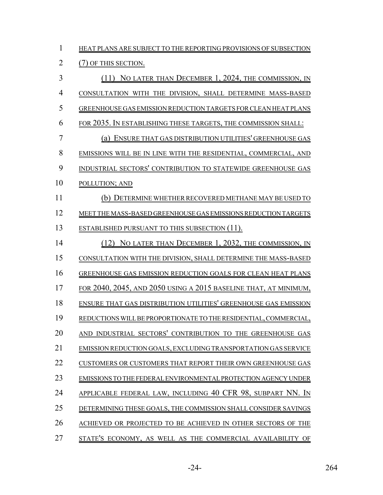| $\mathbf{1}$   | HEAT PLANS ARE SUBJECT TO THE REPORTING PROVISIONS OF SUBSECTION      |
|----------------|-----------------------------------------------------------------------|
| $\overline{2}$ | (7) OF THIS SECTION.                                                  |
| 3              | (11) NO LATER THAN DECEMBER 1, 2024, THE COMMISSION, IN               |
| $\overline{4}$ | CONSULTATION WITH THE DIVISION, SHALL DETERMINE MASS-BASED            |
| 5              | GREENHOUSE GAS EMISSION REDUCTION TARGETS FOR CLEAN HEAT PLANS        |
| 6              | FOR 2035. IN ESTABLISHING THESE TARGETS, THE COMMISSION SHALL:        |
| 7              | (a) ENSURE THAT GAS DISTRIBUTION UTILITIES' GREENHOUSE GAS            |
| 8              | EMISSIONS WILL BE IN LINE WITH THE RESIDENTIAL, COMMERCIAL, AND       |
| 9              | INDUSTRIAL SECTORS' CONTRIBUTION TO STATEWIDE GREENHOUSE GAS          |
| 10             | POLLUTION; AND                                                        |
| 11             | (b) DETERMINE WHETHER RECOVERED METHANE MAY BE USED TO                |
| 12             | MEET THE MASS-BASED GREENHOUSE GAS EMISSIONS REDUCTION TARGETS        |
| 13             | <b>ESTABLISHED PURSUANT TO THIS SUBSECTION (11).</b>                  |
| 14             | (12) NO LATER THAN DECEMBER 1, 2032, THE COMMISSION, IN               |
| 15             | CONSULTATION WITH THE DIVISION, SHALL DETERMINE THE MASS-BASED        |
| 16             | <b>GREENHOUSE GAS EMISSION REDUCTION GOALS FOR CLEAN HEAT PLANS</b>   |
| 17             | FOR 2040, 2045, AND 2050 USING A 2015 BASELINE THAT, AT MINIMUM,      |
| 18             | ENSURE THAT GAS DISTRIBUTION UTILITIES' GREENHOUSE GAS EMISSION       |
| 19             | REDUCTIONS WILL BE PROPORTIONATE TO THE RESIDENTIAL, COMMERCIAL,      |
| 20             | AND INDUSTRIAL SECTORS' CONTRIBUTION TO THE GREENHOUSE GAS            |
| 21             | <b>EMISSION REDUCTION GOALS, EXCLUDING TRANSPORTATION GAS SERVICE</b> |
| 22             | CUSTOMERS OR CUSTOMERS THAT REPORT THEIR OWN GREENHOUSE GAS           |
| 23             | EMISSIONS TO THE FEDERAL ENVIRONMENTAL PROTECTION AGENCY UNDER        |
| 24             | APPLICABLE FEDERAL LAW, INCLUDING 40 CFR 98, SUBPART NN. IN           |
| 25             | DETERMINING THESE GOALS, THE COMMISSION SHALL CONSIDER SAVINGS        |
| 26             | ACHIEVED OR PROJECTED TO BE ACHIEVED IN OTHER SECTORS OF THE          |
| 27             | STATE'S ECONOMY, AS WELL AS THE COMMERCIAL AVAILABILITY OF            |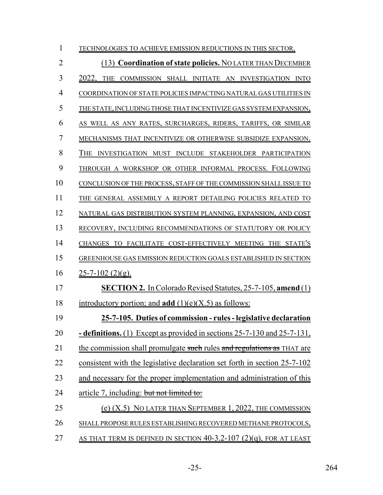| $\mathbf{1}$   | TECHNOLOGIES TO ACHIEVE EMISSION REDUCTIONS IN THIS SECTOR.                     |
|----------------|---------------------------------------------------------------------------------|
| $\overline{2}$ | (13) Coordination of state policies. NO LATER THAN DECEMBER                     |
| $\overline{3}$ | 2022, THE COMMISSION SHALL INITIATE AN INVESTIGATION INTO                       |
| $\overline{4}$ | COORDINATION OF STATE POLICIES IMPACTING NATURAL GAS UTILITIES IN               |
| 5              | THE STATE, INCLUDING THOSE THAT INCENTIVIZE GAS SYSTEM EXPANSION,               |
| 6              | AS WELL AS ANY RATES, SURCHARGES, RIDERS, TARIFFS, OR SIMILAR                   |
| 7              | MECHANISMS THAT INCENTIVIZE OR OTHERWISE SUBSIDIZE EXPANSION.                   |
| 8              | THE INVESTIGATION MUST INCLUDE STAKEHOLDER PARTICIPATION                        |
| 9              | THROUGH A WORKSHOP OR OTHER INFORMAL PROCESS. FOLLOWING                         |
| 10             | CONCLUSION OF THE PROCESS, STAFF OF THE COMMISSION SHALL ISSUE TO               |
| 11             | THE GENERAL ASSEMBLY A REPORT DETAILING POLICIES RELATED TO                     |
| 12             | NATURAL GAS DISTRIBUTION SYSTEM PLANNING, EXPANSION, AND COST                   |
| 13             | RECOVERY, INCLUDING RECOMMENDATIONS OF STATUTORY OR POLICY                      |
| 14             | CHANGES TO FACILITATE COST-EFFECTIVELY MEETING THE STATE'S                      |
| 15             | GREENHOUSE GAS EMISSION REDUCTION GOALS ESTABLISHED IN SECTION                  |
| 16             | $25 - 7 - 102$ (2)(g).                                                          |
| 17             | <b>SECTION 2.</b> In Colorado Revised Statutes, 25-7-105, amend (1)             |
| 18             | introductory portion; and <b>add</b> $(1)(e)(X.5)$ as follows:                  |
| 19             | 25-7-105. Duties of commission - rules - legislative declaration                |
| 20             | <b>- definitions.</b> (1) Except as provided in sections 25-7-130 and 25-7-131, |
| 21             | the commission shall promulgate such rules and regulations as THAT are          |
| 22             | consistent with the legislative declaration set forth in section 25-7-102       |
| 23             | and necessary for the proper implementation and administration of this          |
| 24             | article 7, including: but not limited to:                                       |
| 25             | (e) $(X.5)$ NO LATER THAN SEPTEMBER 1, 2022, THE COMMISSION                     |
| 26             | SHALL PROPOSE RULES ESTABLISHING RECOVERED METHANE PROTOCOLS,                   |
| 27             | AS THAT TERM IS DEFINED IN SECTION $40-3.2-107$ (2)(q), FOR AT LEAST            |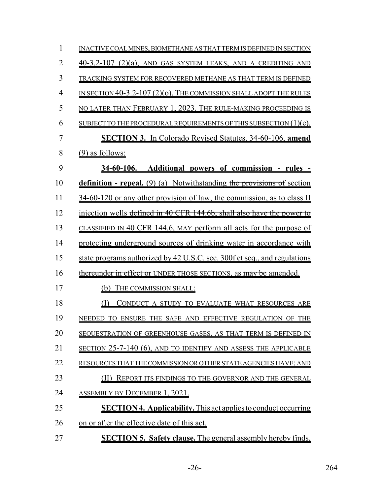| 1              | INACTIVE COAL MINES, BIOMETHANE AS THAT TERM IS DEFINED IN SECTION            |
|----------------|-------------------------------------------------------------------------------|
| $\overline{2}$ | 40-3.2-107 (2)(a), AND GAS SYSTEM LEAKS, AND A CREDITING AND                  |
| 3              | TRACKING SYSTEM FOR RECOVERED METHANE AS THAT TERM IS DEFINED                 |
| 4              | IN SECTION $40-3.2-107(2)(o)$ . The commission shall adopt the rules          |
| 5              | NO LATER THAN FEBRUARY 1, 2023. THE RULE-MAKING PROCEEDING IS                 |
| 6              | SUBJECT TO THE PROCEDURAL REQUIREMENTS OF THIS SUBSECTION $(1)(e)$ .          |
| 7              | <b>SECTION 3.</b> In Colorado Revised Statutes, 34-60-106, amend              |
| 8              | $(9)$ as follows:                                                             |
| 9              | 34-60-106. Additional powers of commission - rules -                          |
| 10             | <b>definition - repeal.</b> (9) (a) Notwithstanding the provisions of section |
| 11             | 34-60-120 or any other provision of law, the commission, as to class II       |
| 12             | injection wells defined in 40 CFR 144.6b, shall also have the power to        |
| 13             | CLASSIFIED IN 40 CFR 144.6, MAY perform all acts for the purpose of           |
| 14             | protecting underground sources of drinking water in accordance with           |
| 15             | state programs authorized by 42 U.S.C. sec. 300f et seq., and regulations     |
| 16             | thereunder in effect or UNDER THOSE SECTIONS, as may be amended.              |
| 17             | THE COMMISSION SHALL:<br>(b)                                                  |
| 18             | CONDUCT A STUDY TO EVALUATE WHAT RESOURCES ARE                                |
| 19             | NEEDED TO ENSURE THE SAFE AND EFFECTIVE REGULATION OF THE                     |
| 20             | SEQUESTRATION OF GREENHOUSE GASES, AS THAT TERM IS DEFINED IN                 |
| 21             | SECTION 25-7-140 (6), AND TO IDENTIFY AND ASSESS THE APPLICABLE               |
| 22             | RESOURCES THAT THE COMMISSION OR OTHER STATE AGENCIES HAVE; AND               |
| 23             | REPORT ITS FINDINGS TO THE GOVERNOR AND THE GENERAL                           |
| 24             | <u>ASSEMBLY BY DECEMBER 1, 2021.</u>                                          |
| 25             | <b>SECTION 4. Applicability.</b> This act applies to conduct occurring        |
| 26             | on or after the effective date of this act.                                   |
| 27             | <b>SECTION 5. Safety clause.</b> The general assembly hereby finds,           |